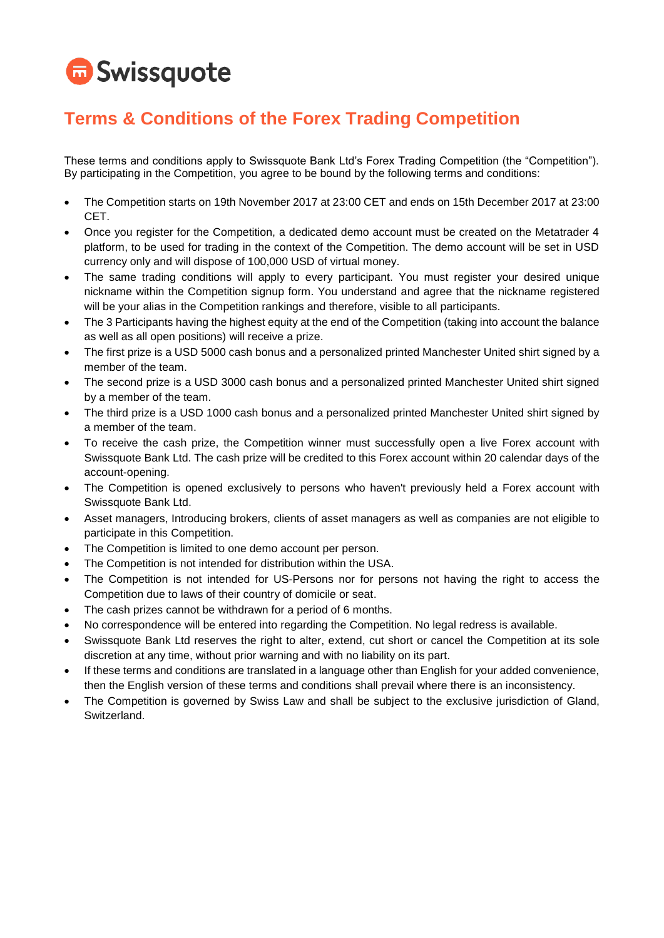# **G** Swissquote

### **Terms & Conditions of the Forex Trading Competition**

These terms and conditions apply to Swissquote Bank Ltd's Forex Trading Competition (the "Competition"). By participating in the Competition, you agree to be bound by the following terms and conditions:

- The Competition starts on 19th November 2017 at 23:00 CET and ends on 15th December 2017 at 23:00 CET.
- Once you register for the Competition, a dedicated demo account must be created on the Metatrader 4 platform, to be used for trading in the context of the Competition. The demo account will be set in USD currency only and will dispose of 100,000 USD of virtual money.
- The same trading conditions will apply to every participant. You must register your desired unique nickname within the Competition signup form. You understand and agree that the nickname registered will be your alias in the Competition rankings and therefore, visible to all participants.
- The 3 Participants having the highest equity at the end of the Competition (taking into account the balance as well as all open positions) will receive a prize.
- The first prize is a USD 5000 cash bonus and a personalized printed Manchester United shirt signed by a member of the team.
- The second prize is a USD 3000 cash bonus and a personalized printed Manchester United shirt signed by a member of the team.
- The third prize is a USD 1000 cash bonus and a personalized printed Manchester United shirt signed by a member of the team.
- To receive the cash prize, the Competition winner must successfully open a live Forex account with Swissquote Bank Ltd. The cash prize will be credited to this Forex account within 20 calendar days of the account-opening.
- The Competition is opened exclusively to persons who haven't previously held a Forex account with Swissquote Bank Ltd.
- Asset managers, Introducing brokers, clients of asset managers as well as companies are not eligible to participate in this Competition.
- The Competition is limited to one demo account per person.
- The Competition is not intended for distribution within the USA.
- The Competition is not intended for US-Persons nor for persons not having the right to access the Competition due to laws of their country of domicile or seat.
- The cash prizes cannot be withdrawn for a period of 6 months.
- No correspondence will be entered into regarding the Competition. No legal redress is available.
- Swissquote Bank Ltd reserves the right to alter, extend, cut short or cancel the Competition at its sole discretion at any time, without prior warning and with no liability on its part.
- If these terms and conditions are translated in a language other than English for your added convenience, then the English version of these terms and conditions shall prevail where there is an inconsistency.
- The Competition is governed by Swiss Law and shall be subject to the exclusive jurisdiction of Gland, Switzerland.